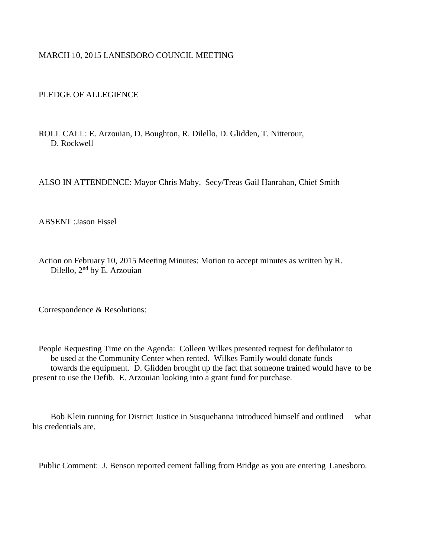## MARCH 10, 2015 LANESBORO COUNCIL MEETING

## PLEDGE OF ALLEGIENCE

ROLL CALL: E. Arzouian, D. Boughton, R. Dilello, D. Glidden, T. Nitterour, D. Rockwell

ALSO IN ATTENDENCE: Mayor Chris Maby, Secy/Treas Gail Hanrahan, Chief Smith

ABSENT :Jason Fissel

Action on February 10, 2015 Meeting Minutes: Motion to accept minutes as written by R. Dilello, 2nd by E. Arzouian

Correspondence & Resolutions:

People Requesting Time on the Agenda: Colleen Wilkes presented request for defibulator to be used at the Community Center when rented. Wilkes Family would donate funds towards the equipment. D. Glidden brought up the fact that someone trained would have to be present to use the Defib. E. Arzouian looking into a grant fund for purchase.

Bob Klein running for District Justice in Susquehanna introduced himself and outlined what his credentials are.

Public Comment: J. Benson reported cement falling from Bridge as you are entering Lanesboro.